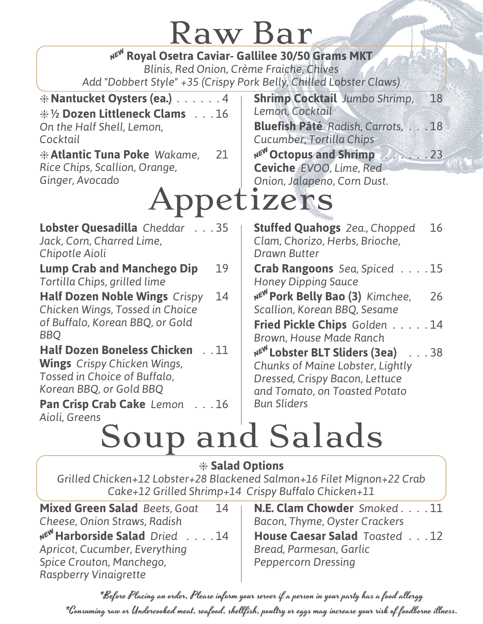#### Raw Bar

| NE <sup>W</sup> Royal Osetra Caviar- Gallilee 30/50 Grams MKT<br>Blinis, Red Onion, Crème Fraiche, Chives<br>Add "Dobbert Style" +35 (Crispy Pork Belly, Chilled Lobster Claws)                                                                 |                                                                                                                                                                                                                           |  |  |  |  |
|-------------------------------------------------------------------------------------------------------------------------------------------------------------------------------------------------------------------------------------------------|---------------------------------------------------------------------------------------------------------------------------------------------------------------------------------------------------------------------------|--|--|--|--|
| $*$ Nantucket Oysters (ea.) $\ldots \ldots 4$<br><b>* 1/2 Dozen Littleneck Clams</b> 16<br>On the Half Shell, Lemon,<br>Cocktail<br><b>* Atlantic Tuna Poke Wakame,</b><br>21<br>Rice Chips, Scallion, Orange,<br>Ginger, Avocado<br>Appetizers | <b>Shrimp Cocktail Jumbo Shrimp,</b><br>18<br>Lemon, Cocktail<br>Bluefish Pâté Radish, Carrots,  18<br>Cucumber, Tortilla Chips<br>NEW Octopus and Shrimp 2. 23<br>Ceviche EVOO, Lime, Red<br>Onion, Jalapeno, Corn Dust. |  |  |  |  |
| Lobster Quesadilla Cheddar 35<br>Jack, Corn, Charred Lime,<br>Chipotle Aioli                                                                                                                                                                    | <b>Stuffed Quahogs</b> 2ea., Chopped<br>16<br>Clam, Chorizo, Herbs, Brioche,<br><b>Drawn Butter</b>                                                                                                                       |  |  |  |  |
| <b>Lump Crab and Manchego Dip</b><br>19<br>Tortilla Chips, grilled lime                                                                                                                                                                         | Crab Rangoons 5ea, Spiced 15<br><b>Honey Dipping Sauce</b>                                                                                                                                                                |  |  |  |  |
| <b>Half Dozen Noble Wings Crispy</b><br>14<br>Chicken Wings, Tossed in Choice<br>of Buffalo, Korean BBQ, or Gold<br><b>BBO</b>                                                                                                                  | NEW Pork Belly Bao (3) Kimchee,<br>26<br>Scallion, Korean BBQ, Sesame<br>Fried Pickle Chips Golden 14<br>Brown, House Made Ranch                                                                                          |  |  |  |  |
| <b>Half Dozen Boneless Chicken</b><br>$\ldots$ 11<br><b>Wings</b> Crispy Chicken Wings,<br>Tossed in Choice of Buffalo,<br>Korean BBQ, or Gold BBQ<br>Pan Crisp Crab Cake Lemon 16<br>Aioli, Greens                                             | NEW Lobster BLT Sliders (3ea)<br>$\ldots$ 38<br>Chunks of Maine Lobster, Lightly<br>Dressed, Crispy Bacon, Lettuce<br>and Tomato, on Toasted Potato<br><b>Bun Sliders</b>                                                 |  |  |  |  |

# Soup and Salads

#### \* **Salad Options**

*Grilled Chicken+12 Lobster+28 Blackened Salmon+16 Filet Mignon+22 Crab Cake+12 Grilled Shrimp+14 Crispy Buffalo Chicken+11*

**Mixed Green Salad** *Beets, Goat* 14 *Cheese, Onion Straws, Radish* A**Harborside Salad** *Dried* . . . . 14 *Apricot, Cucumber, Everything Spice Crouton, Manchego, Raspberry Vinaigrette*

**N.E. Clam Chowder** *Smoked* . . . . 11 *Bacon, Thyme, Oyster Crackers* **House Caesar Salad** *Toasted* . . . 12 *Bread, Parmesan, Garlic Peppercorn Dressing*

\*Before Placing an order, Please inform your server if a person in your party has a food allergy \*Consuming raw or Undercooked meat, seafood, shellfish, poultry or eggs may increase your risk of foodborne illness.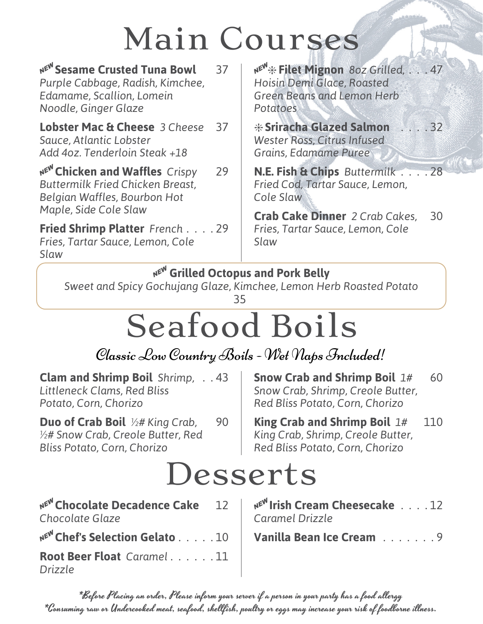## Main Courses

| NEW Sesame Crusted Tuna Bowl<br>Purple Cabbage, Radish, Kimchee,<br>Edamame, Scallion, Lomein<br>Noodle, Ginger Glaze              | 37 | NEW * Filet Mignon 80z Grilled, 47<br>Hoisin Demi Glace, Roasted<br><b>Green Beans and Lemon Herb</b><br>Potatoes        |    |
|------------------------------------------------------------------------------------------------------------------------------------|----|--------------------------------------------------------------------------------------------------------------------------|----|
| <b>Lobster Mac &amp; Cheese</b> 3 Cheese<br>Sauce, Atlantic Lobster<br>Add 4oz. Tenderloin Steak +18                               | 37 | <b>*Sriracha Glazed Salmon</b> 32<br>Wester Ross, Citrus Infused<br>Grains, Edamame Puree                                |    |
| NEW Chicken and Waffles Crispy<br><b>Buttermilk Fried Chicken Breast,</b><br>Belgian Waffles, Bourbon Hot<br>Maple, Side Cole Slaw | 29 | N.E. Fish & Chips Buttermilk 28<br>Fried Cod, Tartar Sauce, Lemon,<br>Cole Slaw<br><b>Crab Cake Dinner</b> 2 Crab Cakes, | 30 |
| Fried Shrimp Platter French 29<br>Fries, Tartar Sauce, Lemon, Cole<br>Slaw                                                         |    | Fries, Tartar Sauce, Lemon, Cole<br>Slaw                                                                                 |    |

#### **NE<sup>W</sup> Grilled Octopus and Pork Belly**

*Sweet and Spicy Gochujang Glaze, Kimchee, Lemon Herb Roasted Potato* 35

### Seafood Boils

Classic Low Country Boils - Wet Naps Included!

**Clam and Shrimp Boil** *Shrimp,* . . 43 *Littleneck Clams, Red Bliss Potato, Corn, Chorizo*

**Duo of Crab Boil** *½# King Crab,* 90 *½# Snow Crab, Creole Butter, Red Bliss Potato, Corn, Chorizo*

**Snow Crab and Shrimp Boil**  $1#$  60 *Snow Crab, Shrimp, Creole Butter, Red Bliss Potato, Corn, Chorizo*

**King Crab and Shrimp Boil** *1#* 110 *King Crab, Shrimp, Creole Butter, Red Bliss Potato, Corn, Chorizo*

#### Desserts

A**Chocolate Decadence Cake** 12 *Chocolate Glaze*

A**Chef's Selection Gelato** . . . . . 10 **Vanilla Bean Ice Cream** . . . . . . . 9

**Root Beer Float** *Caramel* . . . . . . 11 *Drizzle*

A**Irish Cream Cheesecake** . . . . 12 *Caramel Drizzle*

\*Before Placing an order, Please inform your server if a person in your party has a food allergy \*Consuming raw or Undercooked meat, seafood, shellfish, poultry or eggs may increase your risk of foodborne illness.